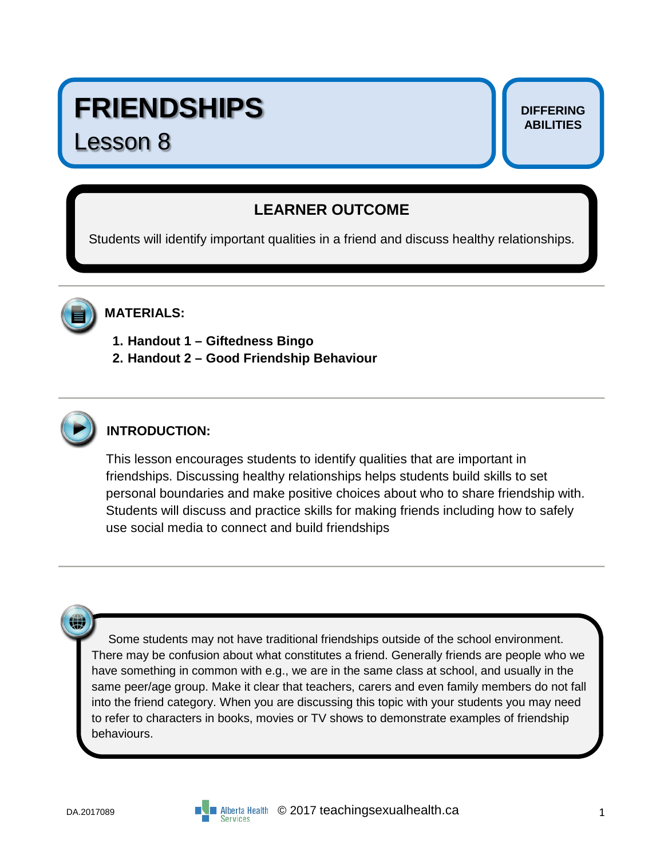# **FRIENDSHIPS**

# Lesson 8

#### **DIFFERING ABILITIES**

# **LEARNER OUTCOME**

Students will identify important qualities in a friend and discuss healthy relationships.



### **MATERIALS:**

- **1. Handout 1 – Giftedness Bingo**
- **2. Handout 2 – Good Friendship Behaviour**



## **INTRODUCTION:**

This lesson encourages students to identify qualities that are important in friendships. Discussing healthy relationships helps students build skills to set personal boundaries and make positive choices about who to share friendship with. Students will discuss and practice skills for making friends including how to safely use social media to connect and build friendships

₩

 Some students may not have traditional friendships outside of the school environment. There may be confusion about what constitutes a friend. Generally friends are people who we have something in common with e.g., we are in the same class at school, and usually in the same peer/age group. Make it clear that teachers, carers and even family members do not fall into the friend category. When you are discussing this topic with your students you may need to refer to characters in books, movies or TV shows to demonstrate examples of friendship behaviours.

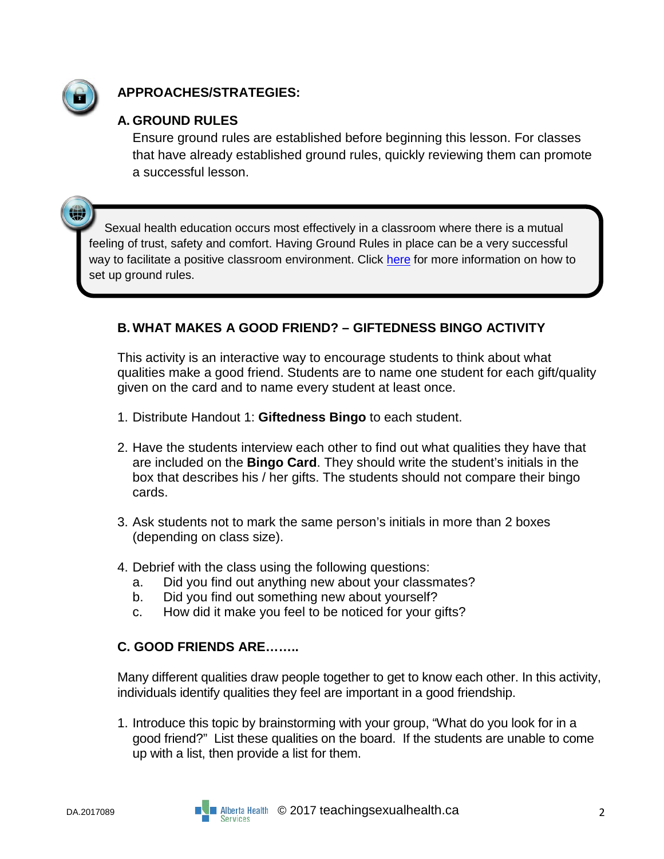

嫐

### **APPROACHES/STRATEGIES:**

### **A. GROUND RULES**

Ensure ground rules are established before beginning this lesson. For classes that have already established ground rules, quickly reviewing them can promote a successful lesson.

Sexual health education occurs most effectively in a classroom where there is a mutual feeling of trust, safety and comfort. Having Ground Rules in place can be a very successful way to facilitate a positive classroom environment. Click [here](https://teachingsexualhealth.ca/teachers/sexual-health-education/understanding-your-role/get-prepared/ground-rules/) for more information on how to set up ground rules.

#### **B. WHAT MAKES A GOOD FRIEND? – GIFTEDNESS BINGO ACTIVITY**

This activity is an interactive way to encourage students to think about what qualities make a good friend. Students are to name one student for each gift/quality given on the card and to name every student at least once.

- 1. Distribute Handout 1: **Giftedness Bingo** to each student.
- 2. Have the students interview each other to find out what qualities they have that are included on the **Bingo Card**. They should write the student's initials in the box that describes his / her gifts. The students should not compare their bingo cards.
- 3. Ask students not to mark the same person's initials in more than 2 boxes (depending on class size).
- 4. Debrief with the class using the following questions:
	- a. Did you find out anything new about your classmates?
	- b. Did you find out something new about yourself?
	- c. How did it make you feel to be noticed for your gifts?

#### **C. GOOD FRIENDS ARE……..**

Many different qualities draw people together to get to know each other. In this activity, individuals identify qualities they feel are important in a good friendship.

1. Introduce this topic by brainstorming with your group, "What do you look for in a good friend?" List these qualities on the board. If the students are unable to come up with a list, then provide a list for them.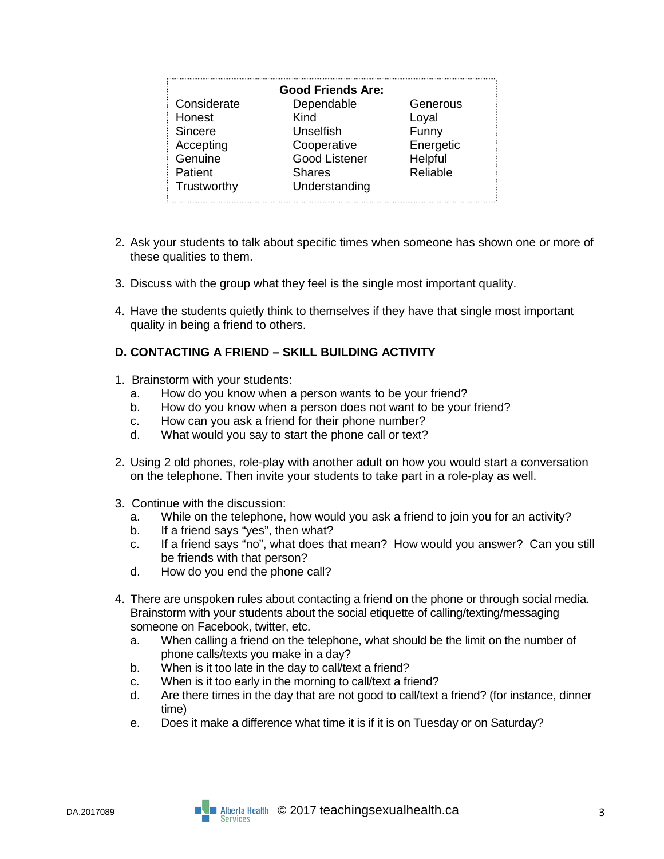| <b>Good Friends Are:</b> |                      |           |  |  |  |
|--------------------------|----------------------|-----------|--|--|--|
| Considerate              | Dependable           | Generous  |  |  |  |
| Honest                   | Kind                 | Loyal     |  |  |  |
| Sincere                  | <b>Unselfish</b>     | Funny     |  |  |  |
| Accepting                | Cooperative          | Energetic |  |  |  |
| Genuine                  | <b>Good Listener</b> | Helpful   |  |  |  |
| Patient                  | <b>Shares</b>        | Reliable  |  |  |  |
| Trustworthy<br>i.        | Understanding        |           |  |  |  |

- 2. Ask your students to talk about specific times when someone has shown one or more of these qualities to them.
- 3. Discuss with the group what they feel is the single most important quality.
- 4. Have the students quietly think to themselves if they have that single most important quality in being a friend to others.

#### **D. CONTACTING A FRIEND – SKILL BUILDING ACTIVITY**

- 1. Brainstorm with your students:
	- a. How do you know when a person wants to be your friend?
	- b. How do you know when a person does not want to be your friend?
	- c. How can you ask a friend for their phone number?
	- d. What would you say to start the phone call or text?
- 2. Using 2 old phones, role-play with another adult on how you would start a conversation on the telephone. Then invite your students to take part in a role-play as well.
- 3. Continue with the discussion:
	- a. While on the telephone, how would you ask a friend to join you for an activity?
	- b. If a friend says "yes", then what?
	- c. If a friend says "no", what does that mean? How would you answer? Can you still be friends with that person?
	- d. How do you end the phone call?
- 4. There are unspoken rules about contacting a friend on the phone or through social media. Brainstorm with your students about the social etiquette of calling/texting/messaging someone on Facebook, twitter, etc.
	- a. When calling a friend on the telephone, what should be the limit on the number of phone calls/texts you make in a day?
	- b. When is it too late in the day to call/text a friend?
	- c. When is it too early in the morning to call/text a friend?
	- d. Are there times in the day that are not good to call/text a friend? (for instance, dinner time)
	- e. Does it make a difference what time it is if it is on Tuesday or on Saturday?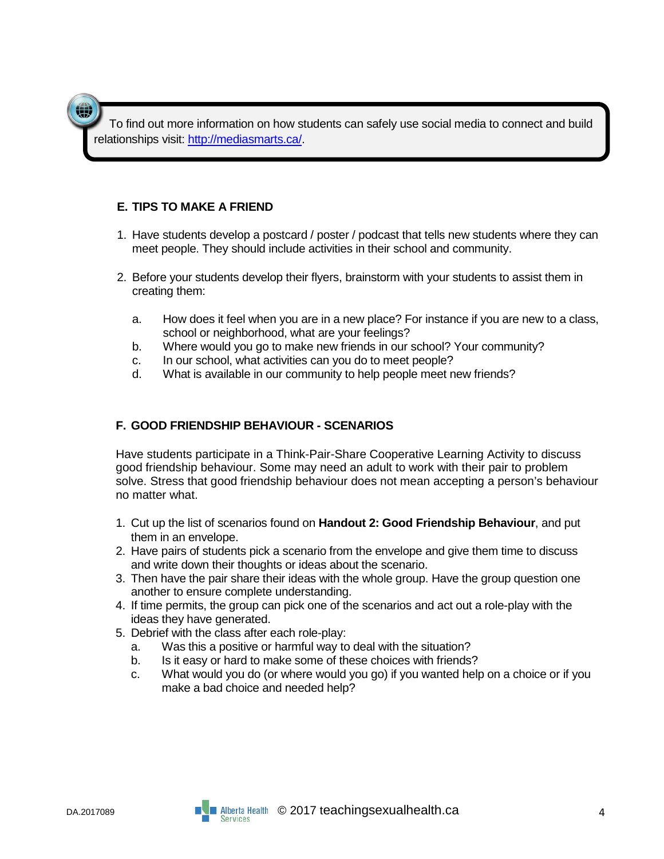To find out more information on how students can safely use social media to connect and build relationships visit: [http://mediasmarts.ca/.](http://mediasmarts.ca/)

#### **E. TIPS TO MAKE A FRIEND**

- 1. Have students develop a postcard / poster / podcast that tells new students where they can meet people. They should include activities in their school and community.
- 2. Before your students develop their flyers, brainstorm with your students to assist them in creating them:
	- a. How does it feel when you are in a new place? For instance if you are new to a class, school or neighborhood, what are your feelings?
	- b. Where would you go to make new friends in our school? Your community?
	- c. In our school, what activities can you do to meet people?
	- d. What is available in our community to help people meet new friends?

#### **F. GOOD FRIENDSHIP BEHAVIOUR - SCENARIOS**

Have students participate in a Think-Pair-Share Cooperative Learning Activity to discuss good friendship behaviour. Some may need an adult to work with their pair to problem solve. Stress that good friendship behaviour does not mean accepting a person's behaviour no matter what.

- 1. Cut up the list of scenarios found on **Handout 2: Good Friendship Behaviour**, and put them in an envelope.
- 2. Have pairs of students pick a scenario from the envelope and give them time to discuss and write down their thoughts or ideas about the scenario.
- 3. Then have the pair share their ideas with the whole group. Have the group question one another to ensure complete understanding.
- 4. If time permits, the group can pick one of the scenarios and act out a role-play with the ideas they have generated.
- 5. Debrief with the class after each role-play:
	- a. Was this a positive or harmful way to deal with the situation?
	- b. Is it easy or hard to make some of these choices with friends?
	- c. What would you do (or where would you go) if you wanted help on a choice or if you make a bad choice and needed help?

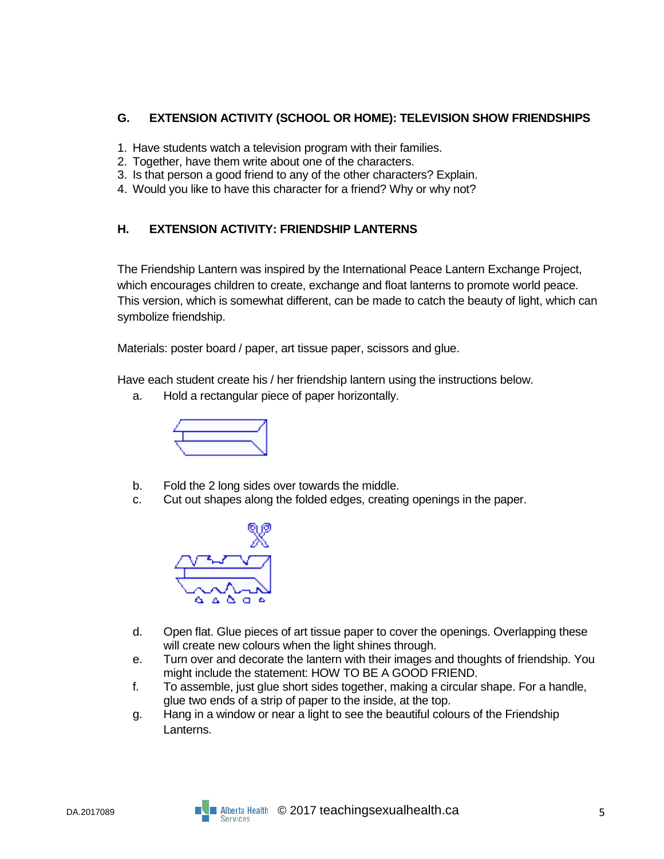#### **G. EXTENSION ACTIVITY (SCHOOL OR HOME): TELEVISION SHOW FRIENDSHIPS**

- 1. Have students watch a television program with their families.
- 2. Together, have them write about one of the characters.
- 3. Is that person a good friend to any of the other characters? Explain.
- 4. Would you like to have this character for a friend? Why or why not?

#### **H. EXTENSION ACTIVITY: FRIENDSHIP LANTERNS**

The Friendship Lantern was inspired by the International Peace Lantern Exchange Project, which encourages children to create, exchange and float lanterns to promote world peace. This version, which is somewhat different, can be made to catch the beauty of light, which can symbolize friendship.

Materials: poster board / paper, art tissue paper, scissors and glue.

Have each student create his / her friendship lantern using the instructions below.

a. Hold a rectangular piece of paper horizontally.



- b. Fold the 2 long sides over towards the middle.
- c. Cut out shapes along the folded edges, creating openings in the paper.



- d. Open flat. Glue pieces of art tissue paper to cover the openings. Overlapping these will create new colours when the light shines through.
- e. Turn over and decorate the lantern with their images and thoughts of friendship. You might include the statement: HOW TO BE A GOOD FRIEND.
- f. To assemble, just glue short sides together, making a circular shape. For a handle, glue two ends of a strip of paper to the inside, at the top.
- g. Hang in a window or near a light to see the beautiful colours of the Friendship Lanterns.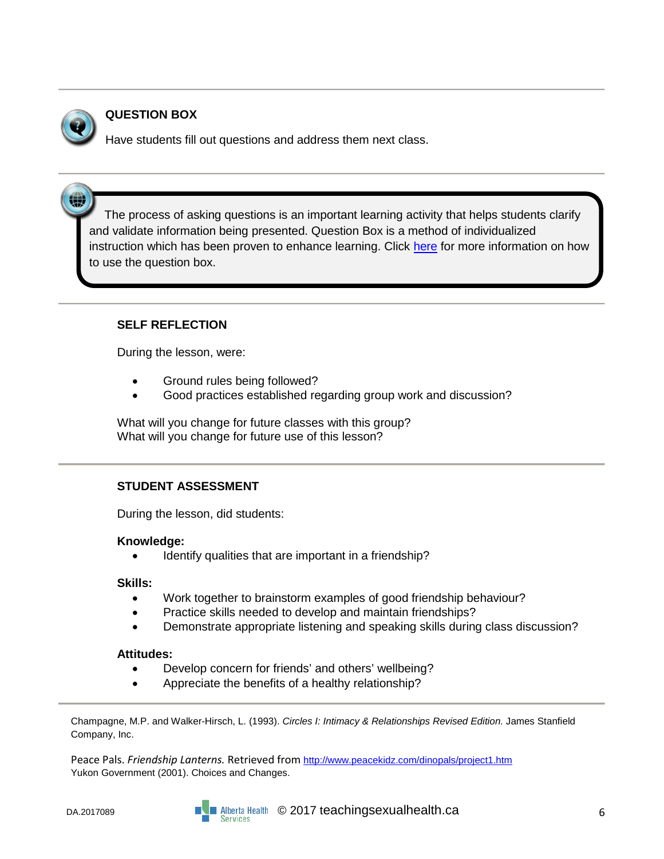

(4)

#### **QUESTION BOX**

Have students fill out questions and address them next class.

The process of asking questions is an important learning activity that helps students clarify and validate information being presented. Question Box is a method of individualized instruction which has been proven to enhance learning. Click [here](https://teachingsexualhealth.ca/teachers/sexual-health-education/responding-to-student-questions/) for more information on how to use the question box.

#### **SELF REFLECTION**

During the lesson, were:

- Ground rules being followed?
- Good practices established regarding group work and discussion?

What will you change for future classes with this group? What will you change for future use of this lesson?

#### **STUDENT ASSESSMENT**

During the lesson, did students:

#### **Knowledge:**

Identify qualities that are important in a friendship?

#### **Skills:**

- Work together to brainstorm examples of good friendship behaviour?
- Practice skills needed to develop and maintain friendships?
- Demonstrate appropriate listening and speaking skills during class discussion?

#### **Attitudes:**

- Develop concern for friends' and others' wellbeing?
- Appreciate the benefits of a healthy relationship?

Champagne, M.P. and Walker-Hirsch, L. (1993). *Circles I: Intimacy & Relationships Revised Edition.* James Stanfield Company, Inc.

Peace Pals. *Friendship Lanterns.* Retrieved from <http://www.peacekidz.com/dinopals/project1.htm> Yukon Government (2001). Choices and Changes.

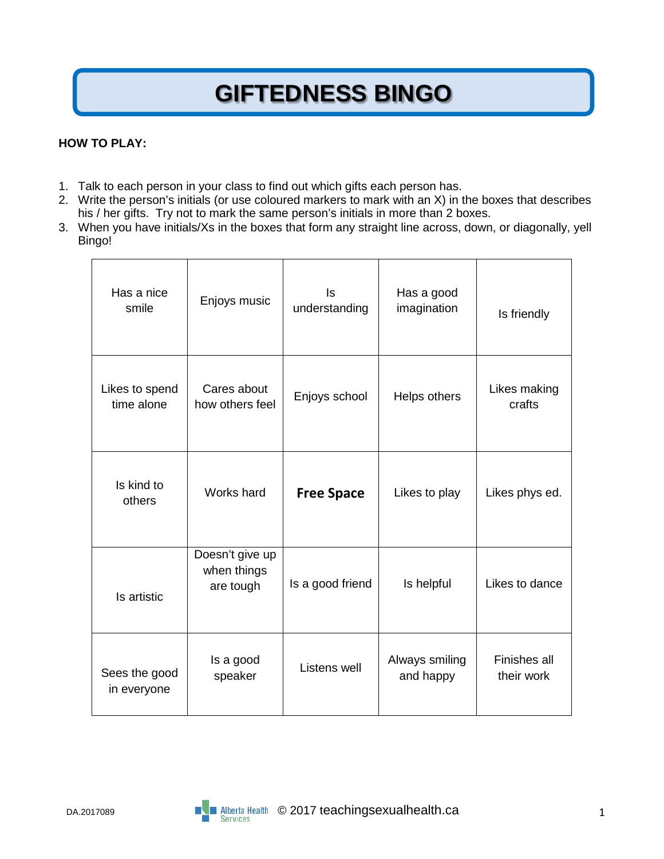# **GIFTEDNESS BINGO**

#### **HOW TO PLAY:**

- 1. Talk to each person in your class to find out which gifts each person has.
- 2. Write the person's initials (or use coloured markers to mark with an X) in the boxes that describes his / her gifts. Try not to mark the same person's initials in more than 2 boxes.
- 3. When you have initials/Xs in the boxes that form any straight line across, down, or diagonally, yell Bingo!

| Has a nice<br>smile          | Enjoys music                                | Is<br>understanding | Has a good<br>imagination   | Is friendly                       |
|------------------------------|---------------------------------------------|---------------------|-----------------------------|-----------------------------------|
| Likes to spend<br>time alone | Cares about<br>how others feel              | Enjoys school       | Helps others                | Likes making<br>crafts            |
| Is kind to<br>others         | Works hard                                  | <b>Free Space</b>   | Likes to play               | Likes phys ed.                    |
| Is artistic                  | Doesn't give up<br>when things<br>are tough | Is a good friend    | Is helpful                  | Likes to dance                    |
| Sees the good<br>in everyone | Is a good<br>speaker                        | Listens well        | Always smiling<br>and happy | <b>Finishes all</b><br>their work |